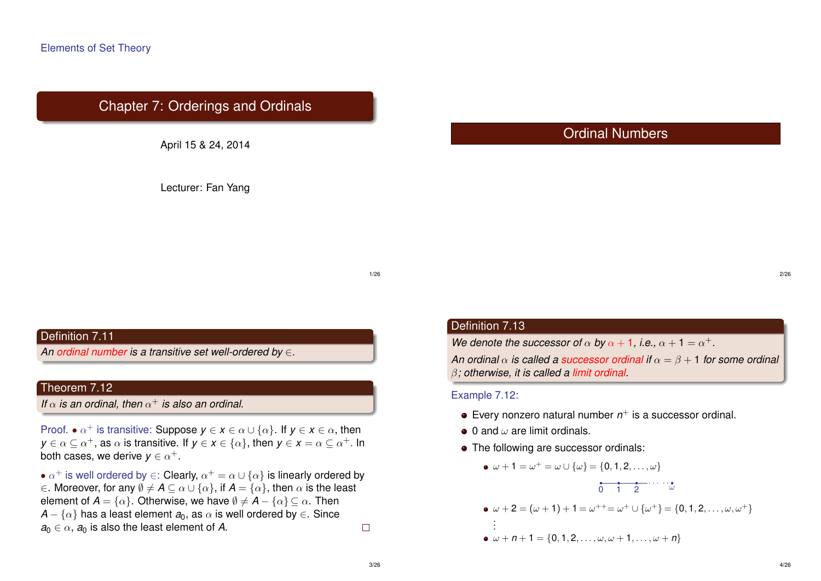# Chapter 7: Orderings and Ordinals

April 15 & 24, 2014

Lecturer: Fan Yang

# Ordinal Numbers

1/26

# Definition 7.11

*An ordinal number is a transitive set well-ordered by* ∈*.*

# Theorem 7.12

*If*  $\alpha$  *is an ordinal, then*  $\alpha^+$  *is also an ordinal.* 

Proof.  $\bullet \alpha^+$  is transitive: Suppose  $y \in x \in \alpha \cup \{\alpha\}$ . If  $y \in x \in \alpha$ , then  $y\in \alpha\subseteq \alpha^+$ , as  $\alpha$  is transitive. If  $y\in x\in \{\alpha\}$ , then  $y\in x=\alpha\subseteq \alpha^+$ . In both cases, we derive  $\pmb{y} \in \alpha^+.$ 

 $\bullet$   $\alpha^+$  is well ordered by  $\in$ : Clearly,  $\alpha^+=\alpha\cup\{\alpha\}$  is linearly ordered by  $\in$ . Moreover, for any  $\emptyset \neq A \subseteq \alpha \cup \{\alpha\}$ , if  $A = \{\alpha\}$ , then  $\alpha$  is the least element of  $A = \{\alpha\}$ . Otherwise, we have  $\emptyset \neq A - \{\alpha\} \subseteq \alpha$ . Then  $A - \{\alpha\}$  has a least element  $a_0$ , as  $\alpha$  is well ordered by  $\in$ . Since  $a_0 \in \alpha$ ,  $a_0$  is also the least element of *A*.  $\Box$ 

# Definition 7.13

*We denote the successor of*  $\alpha$  *by*  $\alpha + 1$ *, i.e.,*  $\alpha + 1 = \alpha^+$ *.* 

*An ordinal*  $\alpha$  *is called a successor ordinal if*  $\alpha = \beta + 1$  *for some ordinal* β*; otherwise, it is called a limit ordinal.*

#### Example 7.12:

- Every nonzero natural number  $n^+$  is a successor ordinal.
- $\bullet$  0 and  $\omega$  are limit ordinals.
- The following are successor ordinals:

\n- \n
$$
\omega + 1 = \omega^{+} = \omega \cup \{\omega\} = \{0, 1, 2, \ldots, \omega\}
$$
\n
\n- \n
$$
\begin{array}{ccc}\n \bullet & \bullet & \bullet & \bullet & \bullet & \bullet \\
 \hline\n \bullet & \bullet & \bullet & \bullet & \bullet & \bullet & \bullet \\
 \hline\n \bullet & \omega + 2 & = (\omega + 1) + 1 = \omega^{++} = \omega^{+} \cup \{\omega^{+}\} = \{0, 1, 2, \ldots, \omega, \omega^{+}\} \\
 \hline\n \vdots & \vdots & \vdots & \vdots & \vdots & \vdots & \vdots & \vdots & \vdots & \vdots & \vdots & \vdots & \vdots & \vdots & \vdots & \vdots & \vdots & \vdots & \vdots & \vdots & \vdots & \vdots & \vdots & \vdots & \vdots & \vdots & \vdots & \vdots & \vdots & \vdots & \vdots & \vdots & \vdots & \vdots & \vdots & \vdots & \vdots & \vdots & \vdots & \vdots & \vdots & \vdots & \vdots & \vdots & \vdots & \vdots & \vdots & \vdots & \vdots & \vdots & \vdots & \vdots & \vdots & \vdots & \vdots & \vdots & \vdots & \vdots & \vdots & \vdots & \vdots & \vdots & \vdots & \vdots & \vdots & \vdots & \vdots & \vdots & \vdots & \vdots & \vdots & \vdots & \vdots & \vdots & \vdots & \vdots & \vdots & \vdots & \vdots & \vdots & \vdots & \vdots & \vdots & \vdots & \vdots & \vdots & \vdots & \vdots & \vdots & \vdots & \vdots & \vdots
$$

2/26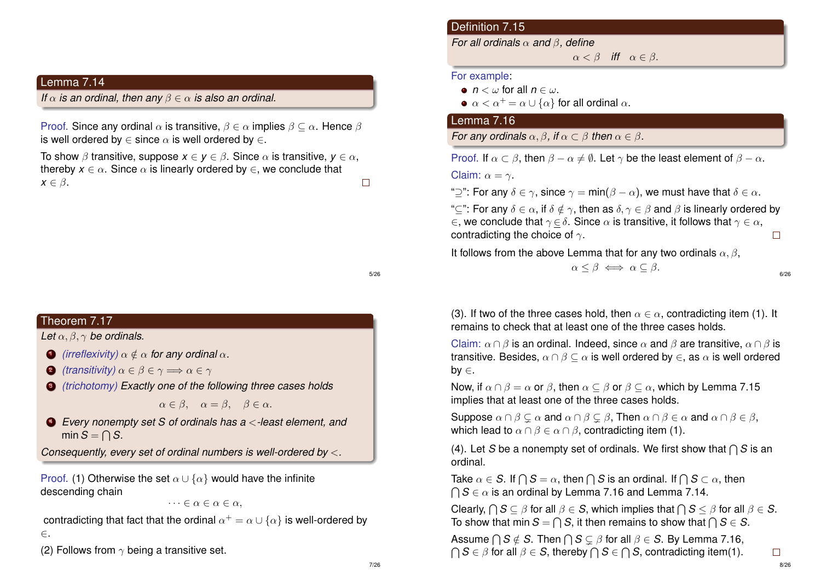# Lemma 7.14

*If*  $\alpha$  *is an ordinal, then any*  $\beta \in \alpha$  *is also an ordinal.* 

Proof. Since any ordinal  $\alpha$  is transitive,  $\beta \in \alpha$  implies  $\beta \subseteq \alpha$ . Hence  $\beta$ is well ordered by  $\in$  since  $\alpha$  is well ordered by  $\in$ .

To show  $\beta$  transitive, suppose  $x \in y \in \beta$ . Since  $\alpha$  is transitive,  $y \in \alpha$ , thereby  $x \in \alpha$ . Since  $\alpha$  is linearly ordered by  $\in$ , we conclude that  $x \in \beta$ .  $\Box$ 

# Theorem 7.17

*Let* α, β, γ *be ordinals.*

- **1** (irreflexivity)  $\alpha \notin \alpha$  for any ordinal  $\alpha$ .
- **2** *(transitivity)*  $\alpha \in \beta \in \gamma \Longrightarrow \alpha \in \gamma$
- <sup>3</sup> *(trichotomy) Exactly one of the following three cases holds*

 $\alpha \in \beta$ ,  $\alpha = \beta$ ,  $\beta \in \alpha$ .

<sup>4</sup> *Every nonempty set S of ordinals has a* <*-least element, and* min  $S = \bigcap S$ .

*Consequently, every set of ordinal numbers is well-ordered by* <*.*

Proof. (1) Otherwise the set  $\alpha \cup {\alpha}$  would have the infinite descending chain

 $\cdots \in \alpha \in \alpha \in \alpha$ ,

contradicting that fact that the ordinal  $\alpha^+=\alpha\cup\{\alpha\}$  is well-ordered by ∈.

(2) Follows from  $\gamma$  being a transitive set.

# Definition 7.15

*For all ordinals* α *and* β*, define*

 $\alpha < \beta$  *iff*  $\alpha \in \beta$ .

### For example:

- $n < \omega$  for all  $n \in \omega$ .
- $\bullet \ \alpha < \alpha^+ = \alpha \cup \{\alpha\}$  for all ordinal  $\alpha$ .

# Lemma 7.16

*For any ordinals*  $\alpha, \beta$ *, if*  $\alpha \subset \beta$  *then*  $\alpha \in \beta$ *.* 

Proof. If  $\alpha \subset \beta$ , then  $\beta - \alpha \neq \emptyset$ . Let  $\gamma$  be the least element of  $\beta - \alpha$ .

Claim:  $\alpha = \gamma$ .

" $\sup$ ": For any  $\delta \in \gamma$ , since  $\gamma = \min(\beta - \alpha)$ , we must have that  $\delta \in \alpha$ .

" $\subset$ ": For any  $\delta \in \alpha$ , if  $\delta \notin \gamma$ , then as  $\delta, \gamma \in \beta$  and  $\beta$  is linearly ordered by  $\epsilon$ , we conclude that  $\gamma \in \delta$ . Since  $\alpha$  is transitive, it follows that  $\gamma \in \alpha$ , contradicting the choice of  $\gamma$ .  $\Box$ 

It follows from the above Lemma that for any two ordinals  $\alpha$ ,  $\beta$ ,

 $\alpha \leq \beta \iff \alpha \subseteq \beta$ .

6/26

(3). If two of the three cases hold, then  $\alpha \in \alpha$ , contradicting item (1). It remains to check that at least one of the three cases holds.

Claim:  $\alpha \cap \beta$  is an ordinal. Indeed, since  $\alpha$  and  $\beta$  are transitive,  $\alpha \cap \beta$  is transitive. Besides,  $\alpha \cap \beta \subseteq \alpha$  is well ordered by  $\in$ , as  $\alpha$  is well ordered by ∈.

Now, if  $\alpha \cap \beta = \alpha$  or  $\beta$ , then  $\alpha \subset \beta$  or  $\beta \subset \alpha$ , which by Lemma 7.15 implies that at least one of the three cases holds.

Suppose  $\alpha \cap \beta \subseteq \alpha$  and  $\alpha \cap \beta \subseteq \beta$ , Then  $\alpha \cap \beta \in \alpha$  and  $\alpha \cap \beta \in \beta$ , which lead to  $\alpha \cap \beta \in \alpha \cap \beta$ , contradicting item (1).

(4). Let *S* be a nonempty set of ordinals. We first show that  $\bigcap S$  is an ordinal.

Take  $\alpha \in \mathcal{S}$ . If  $\bigcap \mathcal{S} = \alpha$ , then  $\bigcap \mathcal{S}$  is an ordinal. If  $\bigcap \mathcal{S} \subset \alpha$ , then  $\bigcap\mathcal{S}\in\alpha$  is an ordinal by Lemma 7.16 and Lemma 7.14.

Clearly,  $\bigcap S \subseteq \beta$  for all  $\beta \in S$ , which implies that  $\bigcap S \leq \beta$  for all  $\beta \in S$ . To show that min  $S = \bigcap S$ , it then remains to show that  $\bigcap S \in S$ .

Assume  $\bigcap S \notin S$ . Then  $\bigcap S \subsetneq \beta$  for all  $\beta \in S$ . By Lemma 7.16,  $\bigcap$  *S*  $\in$   $\beta$  for all  $\beta$   $\in$  *S*, thereby  $\bigcap$  *S*  $\in$   $\bigcap$  *S*, contradicting item(1).

5/26

 $\Box$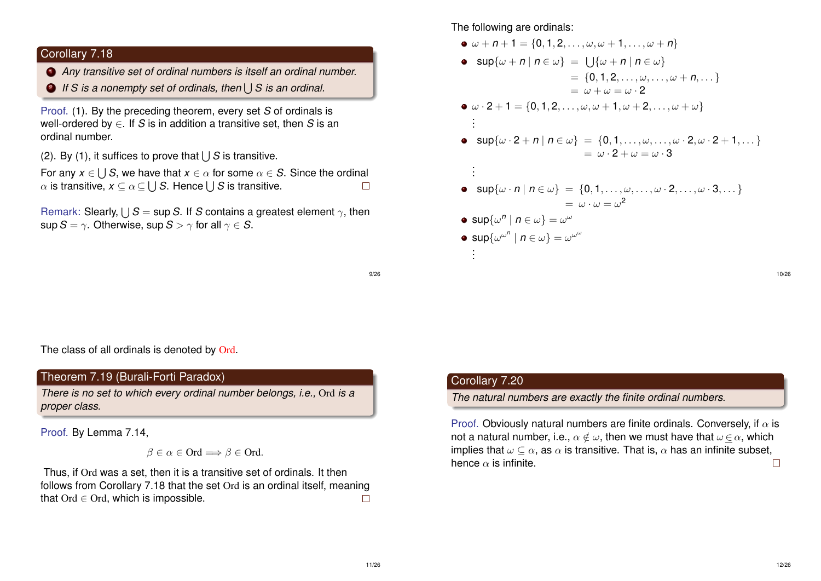# Corollary 7.18

- <sup>1</sup> *Any transitive set of ordinal numbers is itself an ordinal number.*
- 2 If S is a nonempty set of ordinals, then  $\bigcup\mathcal{S}$  is an ordinal.

Proof. (1). By the preceding theorem, every set *S* of ordinals is well-ordered by ∈. If *S* is in addition a transitive set, then *S* is an ordinal number.

(2). By (1), it suffices to prove that  $\bigcup S$  is transitive.

For any  $x\in \bigcup S,$  we have that  $x\in \alpha$  for some  $\alpha\in S.$  Since the ordinal  $\Box$  $\alpha$  is transitive,  $\textsf{x}\subseteq \alpha\mathop{\subseteq}\bigcup \mathcal{S}.$  Hence  $\bigcup \mathcal{S}$  is transitive.

Remark: Slearly,  $\bigcup\mathcal{S}=$  sup S. If *S* contains a greatest element  $\gamma$ , then sup  $S = \gamma$ . Otherwise, sup  $S > \gamma$  for all  $\gamma \in S$ .

#### The following are ordinals:

$$
\begin{aligned}\n& \bullet \omega + n + 1 = \{0, 1, 2, \ldots, \omega, \omega + 1, \ldots, \omega + n\} \\
& \bullet \sup \{\omega + n \mid n \in \omega\} = \bigcup \{\omega + n \mid n \in \omega\} \\
& = \{0, 1, 2, \ldots, \omega, \ldots, \omega + n, \ldots\} \\
& = \omega + \omega = \omega \cdot 2 \\
\bullet \omega \cdot 2 + 1 = \{0, 1, 2, \ldots, \omega, \omega + 1, \omega + 2, \ldots, \omega + \omega\} \\
& \vdots \\
& \bullet \sup \{\omega \cdot 2 + n \mid n \in \omega\} = \{0, 1, \ldots, \omega, \ldots, \omega \cdot 2, \omega \cdot 2 + 1, \ldots\} \\
& = \omega \cdot 2 + \omega = \omega \cdot 3 \\
\vdots \\
& \bullet \sup \{\omega \cdot n \mid n \in \omega\} = \{0, 1, \ldots, \omega, \ldots, \omega \cdot 2, \ldots, \omega \cdot 3, \ldots\} \\
& = \omega \cdot \omega = \omega^2 \\
\bullet \sup \{\omega^n \mid n \in \omega\} = \omega^\omega \\
\bullet \sup \{\omega^\omega \mid n \in \omega\} = \omega^\omega \\
\vdots\n\end{aligned}
$$

9/26

The class of all ordinals is denoted by Ord.

# Theorem 7.19 (Burali-Forti Paradox)

*There is no set to which every ordinal number belongs, i.e.,* Ord *is a proper class.*

Proof. By Lemma 7.14,

$$
\beta \in \alpha \in \text{Ord} \Longrightarrow \beta \in \text{Ord}.
$$

Thus, if Ord was a set, then it is a transitive set of ordinals. It then follows from Corollary 7.18 that the set Ord is an ordinal itself, meaning that  $Ord \in Ord$ , which is impossible.  $\Box$ 

# Corollary 7.20

*The natural numbers are exactly the finite ordinal numbers.*

Proof. Obviously natural numbers are finite ordinals. Conversely, if  $\alpha$  is not a natural number, i.e.,  $\alpha \notin \omega$ , then we must have that  $\omega \in \alpha$ , which implies that  $\omega \subset \alpha$ , as  $\alpha$  is transitive. That is,  $\alpha$  has an infinite subset, hence  $\alpha$  is infinite.  $\Box$ 

10/26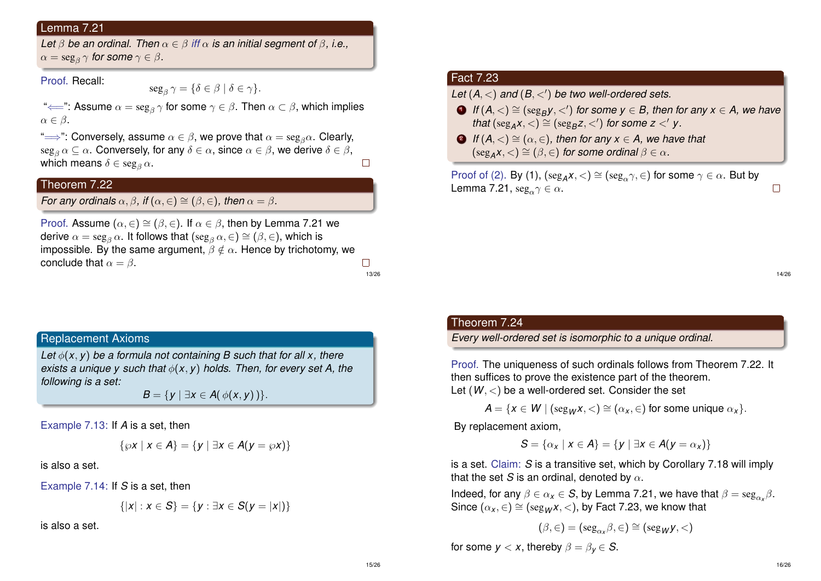### Lemma 7.21

*Let*  $\beta$  *be an ordinal. Then*  $\alpha \in \beta$  *iff*  $\alpha$  *is an initial segment of*  $\beta$ , *i.e.*,  $\alpha = \operatorname{seg}_\beta \gamma$  for some  $\gamma \in \beta$  .

Proof. Recall:

 $\text{seg}_{\beta} \gamma = \{ \delta \in \beta \mid \delta \in \gamma \}.$ 

" $\Longleftarrow$ ": Assume  $\alpha=\text{seg}_\beta\,\gamma$  for some  $\gamma\in\beta.$  Then  $\alpha\subset\beta,$  which implies  $\alpha \in \beta$ .

" $\implies$ ": Conversely, assume  $\alpha \in \beta$ , we prove that  $\alpha = \text{seg}_\beta \alpha$ . Clearly,  $\text{seg}_{\beta} \alpha \subseteq \alpha$ . Conversely, for any  $\delta \in \alpha$ , since  $\alpha \in \beta$ , we derive  $\delta \in \beta$ , which means  $\delta \in \text{seg}_\beta \alpha$ .  $\Box$ 

# Theorem 7.22

*For any ordinals*  $\alpha$ ,  $\beta$ , *if*  $(\alpha, \epsilon) \cong (\beta, \epsilon)$ *, then*  $\alpha = \beta$ *.* 

Proof. Assume  $(\alpha, \in) \cong (\beta, \in)$ . If  $\alpha \in \beta$ , then by Lemma 7.21 we derive  $\alpha = \text{seg}_{\beta} \alpha$ . It follows that  $(\text{seg}_{\beta} \alpha, \in) \cong (\beta, \in)$ , which is impossible. By the same argument,  $\beta \notin \alpha$ . Hence by trichotomy, we conclude that  $\alpha = \beta$ .  $\Box$ 

13/26

Replacement Axioms

*Let*  $\phi(x, y)$  *be a formula not containing B such that for all x, there exists a unique y such that* φ(*x*, *y*) *holds. Then, for every set A, the following is a set:*

*B* = {*y* | ∃*x* ∈ *A*( $\phi$ (*x*, *y*) }.

Example 7.13: If *A* is a set, then

$$
\{\wp x \mid x \in A\} = \{y \mid \exists x \in A(y = \wp x)\}\
$$

is also a set.

Example 7.14: If *S* is a set, then

$$
\{|x| : x \in S\} = \{y : \exists x \in S(y = |x|)\}
$$

is also a set.

# Fact 7.23

Let  $(A, <)$  and  $(B, <')$  be two well-ordered sets.

- $\Box$  *If*  $(A, <) \cong (\text{seg}_B y, <')$  for some  $y \in B$ , then for any  $x \in A$ , we have *that*  $(\text{seg}_A x, <) \cong (\text{seg}_B z, <')$  *for some z* <' *y*.
- **2** *If*  $(A, \leq) \cong (\alpha, \in)$ , then for any  $x \in A$ , we have that  $(\text{seg}_A \mathbf{x}, <) \cong (\beta, \in)$  *for some ordinal*  $\beta \in \alpha$ *.*

Proof of (2). By (1),  $(\text{seg}_A x, <) \cong (\text{seg}_\alpha \gamma, \in)$  for some  $\gamma \in \alpha$ . But by Lemma 7.21,  $\text{seg}_{\alpha} \gamma \in \alpha$ .

14/26

 $\Box$ 

#### Theorem 7.24

*Every well-ordered set is isomorphic to a unique ordinal.*

Proof. The uniqueness of such ordinals follows from Theorem 7.22. It then suffices to prove the existence part of the theorem. Let  $(W, <)$  be a well-ordered set. Consider the set

 $A = \{x \in W \mid (\text{seg}_{W}x, \leq) \cong (\alpha_{x}, \in) \text{ for some unique } \alpha_{x}\}.$ 

By replacement axiom,

$$
S = \{ \alpha_x \mid x \in A \} = \{ y \mid \exists x \in A(y = \alpha_x) \}
$$

is a set. Claim: *S* is a transitive set, which by Corollary 7.18 will imply that the set *S* is an ordinal, denoted by  $\alpha$ .

Indeed, for any  $\beta \in \alpha_{\mathsf{x}} \in \mathcal{S}$ , by Lemma 7.21, we have that  $\beta = \text{seg}_{\alpha_{\mathsf{x}}} \beta$ . Since  $(\alpha_{x}, \in) \cong (seg_{W}x, <)$ , by Fact 7.23, we know that

$$
(\beta,\in)=(\operatorname{seg}_{\alpha_x}\beta,\in)\cong(\operatorname{seg}_{W}y,<)
$$

for some  $y < x$ , thereby  $\beta = \beta_y \in S$ .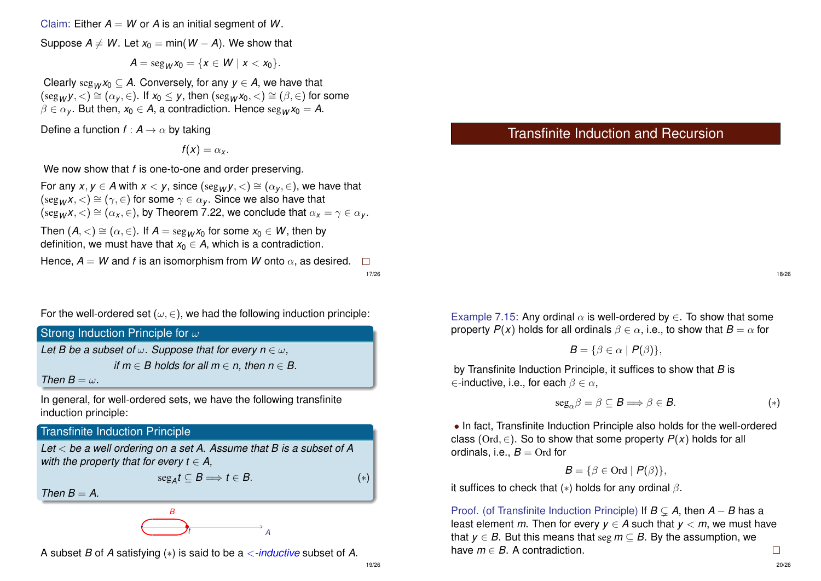Claim: Either  $A = W$  or A is an initial segment of W.

Suppose  $A \neq W$ . Let  $x_0 = \min(W - A)$ . We show that

 $A = \text{seg}_{W} x_0 = \{x \in W \mid x < x_0\}.$ 

Clearly  $\text{seg}_{W}x_0 \subseteq A$ . Conversely, for any  $y \in A$ , we have that  $(\text{seg}_W y, <) \cong (\alpha_y, \in)$ . If  $x_0 \leq y$ , then  $(\text{seg}_W x_0, <) \cong (\beta, \in)$  for some  $\beta \in \alpha_V$ . But then,  $x_0 \in A$ , a contradiction. Hence  $\text{seg}_W x_0 = A$ .

Define a function  $f : A \rightarrow \alpha$  by taking

 $f(x) = \alpha_x$ .

We now show that *f* is one-to-one and order preserving.

For any *x*,  $y \in A$  with  $x < y$ , since  $(\text{seg}_{W}y, <) \cong (\alpha_{y}, \in)$ , we have that  $(\text{seg}_{W}X, <) \cong (\gamma, \in)$  for some  $\gamma \in \alpha_{V}$ . Since we also have that  $(\text{seg}_{\mathcal{W}}x, \leq) \cong (\alpha_x, \in)$ , by Theorem 7.22, we conclude that  $\alpha_x = \gamma \in \alpha_y$ .

Then  $(A, \leq) \cong (\alpha, \in)$ . If  $A = \text{seg}_{M}X_0$  for some  $x_0 \in W$ , then by definition, we must have that  $x_0 \in A$ , which is a contradiction.

Hence,  $A = W$  and *f* is an isomorphism from W onto  $\alpha$ , as desired.  $\Box$ 17/26

For the well-ordered set ( $\omega, \in$ ), we had the following induction principle:

Strong Induction Principle for  $\omega$ *Let B be a subset of*  $\omega$ . *Suppose that for every n*  $\in \omega$ . *if*  $m \in B$  holds for all  $m \in n$ , then  $n \in B$ . *Then*  $B = \omega$ .

In general, for well-ordered sets, we have the following transfinite induction principle:

# Transfinite Induction Principle

*Let* < *be a well ordering on a set A. Assume that B is a subset of A with the property that for every*  $t \in A$ *,* 

 $\text{seg}_A t \subseteq B \Longrightarrow t \in B.$  (\*)

*Then*  $B = A$ .



A subset *B* of *A* satisfying (∗) is said to be a <*-inductive* subset of *A*.

Example 7.15: Any ordinal  $\alpha$  is well-ordered by  $\in$ . To show that some property  $P(x)$  holds for all ordinals  $\beta \in \alpha$ , i.e., to show that  $B = \alpha$  for

Transfinite Induction and Recursion

$$
B = \{ \beta \in \alpha \mid P(\beta) \},
$$

by Transfinite Induction Principle, it suffices to show that *B* is  $\in$ -inductive, i.e., for each  $\beta \in \alpha$ ,

$$
seg_{\alpha}\beta = \beta \subseteq B \Longrightarrow \beta \in B. \tag{*}
$$

• In fact, Transfinite Induction Principle also holds for the well-ordered class (Ord,  $\in$ ). So to show that some property  $P(x)$  holds for all ordinals, i.e.,  $B = \text{Ord}$  for

$$
B = \{ \beta \in \text{Ord} \mid P(\beta) \},
$$

it suffices to check that  $(*)$  holds for any ordinal  $\beta$ .

Proof. (of Transfinite Induction Principle) If *B* ( *A*, then *A* − *B* has a least element *m*. Then for every  $y \in A$  such that  $y < m$ , we must have that  $y \in B$ . But this means that seg  $m \subset B$ . By the assumption, we have  $m \in B$ . A contradiction.  $\Box$ 

18/26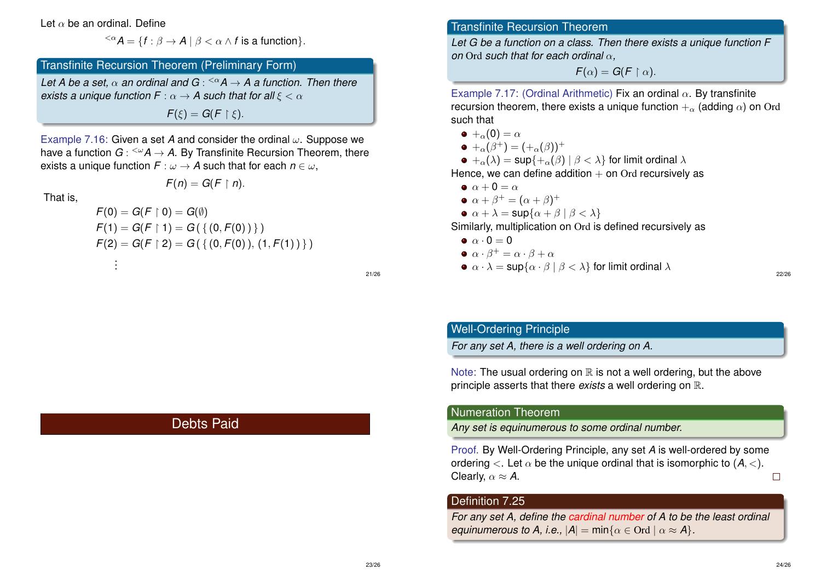#### Let  $\alpha$  be an ordinal. Define

. .

 $\langle A \rangle^{\langle \alpha} A = \{ f : \beta \to A \mid \beta < \alpha \wedge f \text{ is a function} \}.$ 

# Transfinite Recursion Theorem (Preliminary Form)

*Let A be a set,* α *an ordinal and G* : <α*A* → *A a function. Then there exists a unique function F* :  $\alpha \rightarrow A$  *such that for all*  $\xi < \alpha$ 

 $F(\xi) = G(F \restriction \xi).$ 

Example 7.16: Given a set *A* and consider the ordinal ω. Suppose we have a function  $G$  : <sup><ω</sup>A → A. By Transfinite Recursion Theorem, there exists a unique function  $F : \omega \to A$  such that for each  $n \in \omega$ ,

$$
F(n)=G(F\restriction n).
$$

That is,

$$
F(0) = G(F \upharpoonright 0) = G(\emptyset)
$$
  
\n
$$
F(1) = G(F \upharpoonright 1) = G(\{ (0, F(0)) \})
$$
  
\n
$$
F(2) = G(F \upharpoonright 2) = G(\{ (0, F(0)), (1, F(1)) \})
$$

21/26

# Transfinite Recursion Theorem

*Let G be a function on a class. Then there exists a unique function F on* Ord *such that for each ordinal* α*,*

 $F(\alpha) = G(F \restriction \alpha).$ 

Example 7.17: (Ordinal Arithmetic) Fix an ordinal  $\alpha$ . By transfinite recursion theorem, there exists a unique function  $+_{\alpha}$  (adding  $\alpha$ ) on Ord such that

- $\bullet +_{\alpha}(0) = \alpha$
- $+_{\alpha}(\beta^{+}) = (+_{\alpha}(\beta))^{+}$

 $\bullet +_{\alpha}(\lambda) = \sup\{+\alpha(\beta) \mid \beta < \lambda\}$  for limit ordinal  $\lambda$ 

Hence, we can define addition  $+$  on Ord recursively as

- $\bullet$   $\alpha + 0 = \alpha$
- $\alpha + \beta^+ = (\alpha + \beta)^+$

$$
\bullet \ \alpha + \lambda = \sup\{\alpha + \beta \mid \beta < \lambda\}
$$

Similarly, multiplication on Ord is defined recursively as

 $\bullet \ \alpha \cdot 0 = 0$ 

$$
\bullet \ \alpha \cdot \beta^+ = \alpha \cdot \beta + \alpha
$$

 $\bullet \ \alpha \cdot \lambda = \sup\{\alpha \cdot \beta \mid \beta < \lambda\}$  for limit ordinal  $\lambda$ 

# Well-Ordering Principle

*For any set A, there is a well ordering on A.*

Note: The usual ordering on  $\mathbb R$  is not a well ordering, but the above principle asserts that there *exists* a well ordering on R.

#### Numeration Theorem

*Any set is equinumerous to some ordinal number.*

Proof. By Well-Ordering Principle, any set *A* is well-ordered by some ordering  $\langle$ . Let  $\alpha$  be the unique ordinal that is isomorphic to  $(A, \langle)$ . Clearly,  $\alpha \approx A$ .  $\Box$ 

# Definition 7.25

*For any set A, define the cardinal number of A to be the least ordinal equinumerous to A, i.e.,*  $|A| = min\{\alpha \in \text{Ord} \mid \alpha \approx A\}$ *.* 

# Debts Paid